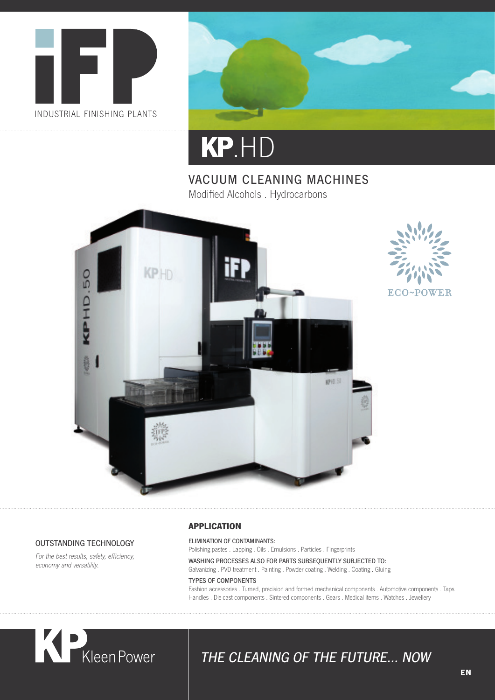





## VACUUM CLEANING MACHINES

Modified Alcohols . Hydrocarbons





#### **APPLICATION**

OUTSTANDING TECHNOLOGY

For the best results, safety, efficiency, economy and versatility.

#### ELIMINATION OF CONTAMINANTS:

Polishing pastes . Lapping . Oils . Emulsions . Particles . Fingerprints

WASHING PROCESSES ALSO FOR PARTS SUBSEQUENTLY SUBJECTED TO: Galvanizing . PVD treatment . Painting . Powder coating . Welding . Coating . Gluing

#### TYPES OF COMPONENTS

Fashion accessories . Turned, precision and formed mechanical components . Automotive components . Taps Handles . Die-cast components . Sintered components . Gears . Medical items . Watches . Jewellery



## THE CLEANING OF THE FUTURE… NOW